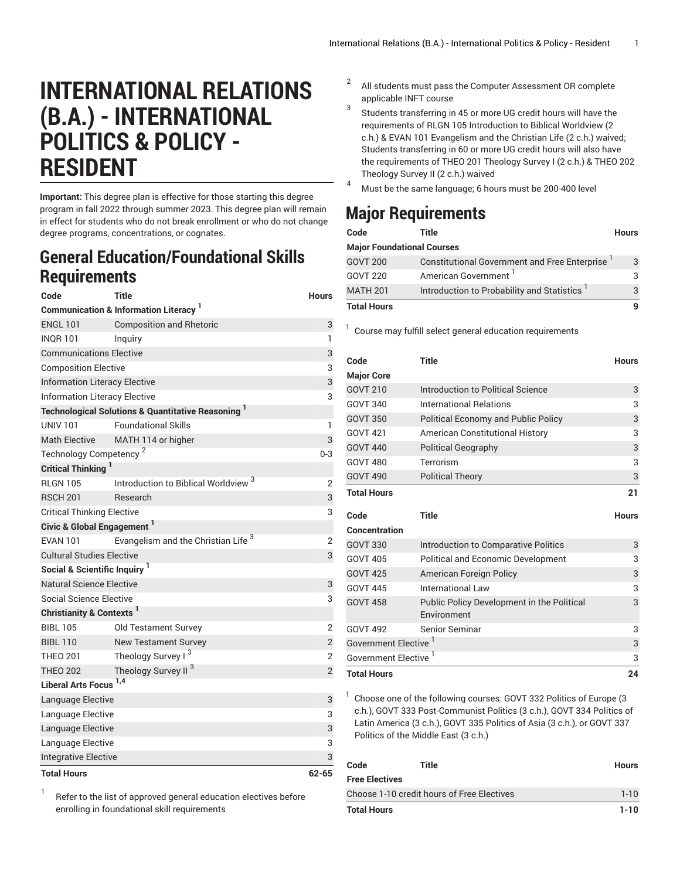## **INTERNATIONAL RELATIONS (B.A.) - INTERNATIONAL POLITICS & POLICY - RESIDENT**

**Important:** This degree plan is effective for those starting this degree program in fall 2022 through summer 2023. This degree plan will remain in effect for students who do not break enrollment or who do not change degree programs, concentrations, or cognates.

## **General Education/Foundational Skills Requirements**

| Code                                     | Title                                                                    | <b>Hours</b>   |  |
|------------------------------------------|--------------------------------------------------------------------------|----------------|--|
|                                          | Communication & Information Literacy 1                                   |                |  |
| <b>ENGL 101</b>                          | <b>Composition and Rhetoric</b>                                          | 3              |  |
| <b>INOR 101</b>                          | Inguiry                                                                  | 1              |  |
| <b>Communications Elective</b>           | 3                                                                        |                |  |
| <b>Composition Elective</b>              | 3                                                                        |                |  |
| <b>Information Literacy Elective</b>     | 3                                                                        |                |  |
| <b>Information Literacy Elective</b>     |                                                                          |                |  |
|                                          | <b>Technological Solutions &amp; Quantitative Reasoning</b> <sup>1</sup> |                |  |
| <b>UNIV 101</b>                          | <b>Foundational Skills</b>                                               | 1              |  |
| <b>Math Elective</b>                     | MATH 114 or higher                                                       | 3              |  |
| Technology Competency <sup>2</sup>       |                                                                          | $0 - 3$        |  |
| Critical Thinking                        |                                                                          |                |  |
| <b>RLGN 105</b>                          | Introduction to Biblical Worldview <sup>3</sup>                          | 2              |  |
| <b>RSCH 201</b>                          | Research                                                                 | 3              |  |
| <b>Critical Thinking Elective</b>        |                                                                          | 3              |  |
| Civic & Global Engagement <sup>1</sup>   |                                                                          |                |  |
| <b>EVAN 101</b>                          | Evangelism and the Christian Life <sup>3</sup>                           | $\overline{2}$ |  |
| <b>Cultural Studies Elective</b>         |                                                                          |                |  |
| Social & Scientific Inquiry <sup>1</sup> |                                                                          |                |  |
| Natural Science Elective                 |                                                                          | 3              |  |
| Social Science Elective                  |                                                                          | 3              |  |
| Christianity & Contexts <sup>1</sup>     |                                                                          |                |  |
| <b>BIBL 105</b>                          | Old Testament Survey                                                     | $\overline{2}$ |  |
| <b>BIBL 110</b>                          | <b>New Testament Survey</b>                                              | $\sqrt{2}$     |  |
| <b>THEO 201</b>                          | Theology Survey I <sup>3</sup>                                           | $\overline{2}$ |  |
| <b>THEO 202</b>                          | Theology Survey II <sup>3</sup>                                          | $\overline{2}$ |  |
| Liberal Arts Focus <sup>1,4</sup>        |                                                                          |                |  |
| Language Elective                        |                                                                          | 3              |  |
| Language Elective                        |                                                                          | 3              |  |
| Language Elective                        |                                                                          | 3              |  |
| Language Elective                        | 3                                                                        |                |  |
| <b>Integrative Elective</b>              |                                                                          | 3              |  |
| <b>Total Hours</b>                       |                                                                          | $62 - 65$      |  |

1 Refer to the list of approved general [education](https://www.liberty.edu/gened/) electives before enrolling in foundational skill requirements

- 2 All students must pass the [Computer Assessment](https://www.liberty.edu/computerassessment/) OR complete applicable INFT course
- 3 Students transferring in 45 or more UG credit hours will have the requirements of RLGN 105 Introduction to Biblical Worldview (2 c.h.) & EVAN 101 Evangelism and the Christian Life (2 c.h.) waived; Students transferring in 60 or more UG credit hours will also have the requirements of THEO 201 Theology Survey I (2 c.h.) & THEO 202 Theology Survey II (2 c.h.) waived
- <sup>4</sup> Must be the same language; <sup>6</sup> hours must be 200-400 level

## **Major Requirements**

| Code                              | Title                                         | <b>Hours</b> |
|-----------------------------------|-----------------------------------------------|--------------|
| <b>Major Foundational Courses</b> |                                               |              |
| <b>GOVT 200</b>                   | Constitutional Government and Free Enterprise | 3            |
| <b>GOVT 220</b>                   | American Government <sup>1</sup>              |              |
| <b>MATH 201</b>                   | Introduction to Probability and Statistics    |              |
| <b>Total Hours</b>                |                                               |              |

<sup>1</sup> Course may fulfill select general education [requirements](http://www.liberty.edu/academics/generalstudies/?PID=37563)

| Code                             | Title                                      | <b>Hours</b> |
|----------------------------------|--------------------------------------------|--------------|
| <b>Major Core</b>                |                                            |              |
| <b>GOVT 210</b>                  | Introduction to Political Science          | 3            |
| <b>GOVT 340</b>                  | International Relations                    | 3            |
| <b>GOVT 350</b>                  | <b>Political Economy and Public Policy</b> | 3            |
| GOVT 421                         | <b>American Constitutional History</b>     | 3            |
| <b>GOVT 440</b>                  | <b>Political Geography</b>                 | 3            |
| <b>GOVT 480</b>                  | Terrorism                                  | 3            |
| <b>GOVT 490</b>                  | <b>Political Theory</b>                    | 3            |
| <b>Total Hours</b>               |                                            | 21           |
| Code                             | Title                                      | <b>Hours</b> |
|                                  |                                            |              |
|                                  |                                            |              |
| <b>Concentration</b>             |                                            |              |
| <b>GOVT 330</b>                  | Introduction to Comparative Politics       | 3            |
| <b>GOVT 405</b>                  | <b>Political and Economic Development</b>  | 3            |
| <b>GOVT 425</b>                  | American Foreign Policy                    | 3            |
| <b>GOVT 445</b>                  | International Law                          | 3            |
| <b>GOVT 458</b>                  | Public Policy Development in the Political | 3            |
|                                  | Environment                                |              |
| <b>GOVT 492</b>                  | Senior Seminar                             | 3            |
| Government Elective '            |                                            | 3            |
| Government Elective <sup>1</sup> |                                            | 3            |

<sup>1</sup> Choose one of the following courses: GOVT 332 Politics of Europe (3 c.h.), GOVT 333 Post-Communist Politics (3 c.h.), GOVT 334 Politics of Latin America (3 c.h.), GOVT 335 Politics of Asia (3 c.h.), or GOVT 337 Politics of the Middle East (3 c.h.)

| Code                                       | Title | <b>Hours</b> |
|--------------------------------------------|-------|--------------|
| <b>Free Electives</b>                      |       |              |
| Choose 1-10 credit hours of Free Electives |       | $1 - 10$     |
| <b>Total Hours</b>                         |       | $1 - 10$     |